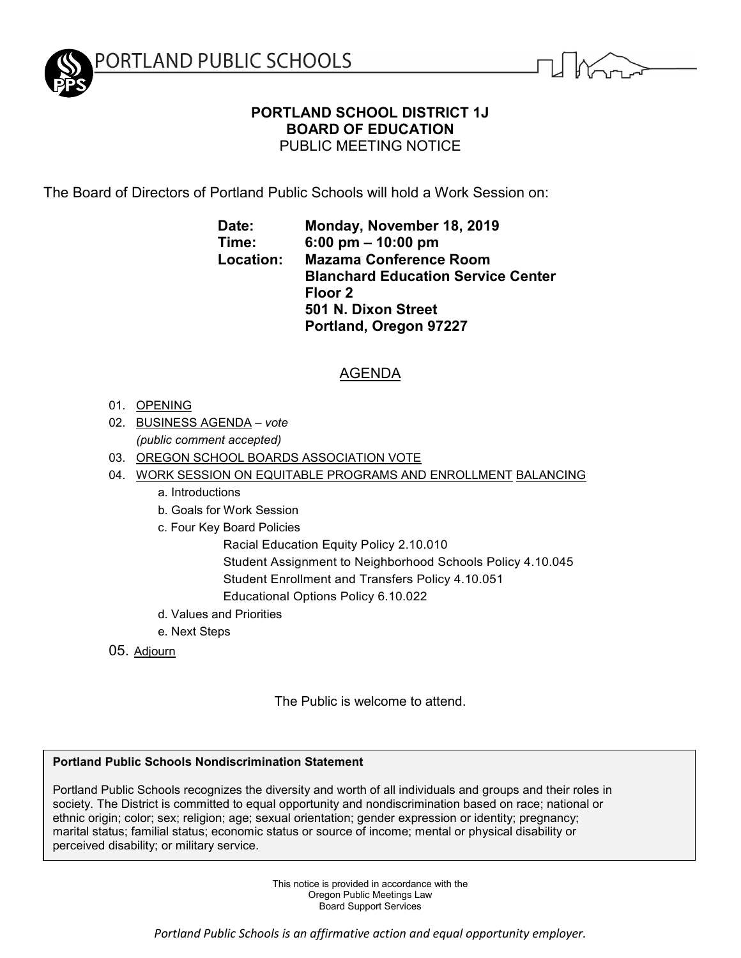

# **PORTLAND SCHOOL DISTRICT 1J BOARD OF EDUCATION** PUBLIC MEETING NOTICE

The Board of Directors of Portland Public Schools will hold a Work Session on:

**Date: Monday, November 18, 2019 Time: 6:00 pm – 10:00 pm Location: Mazama Conference Room Blanchard Education Service Center Floor 2 501 N. Dixon Street Portland, Oregon 97227**

# AGENDA

- 01. OPENING
- 02. BUSINESS AGENDA *vote (public comment accepted)*
- 03. OREGON SCHOOL BOARDS ASSOCIATION VOTE
- 04. WORK SESSION ON EQUITABLE PROGRAMS AND ENROLLMENT BALANCING
	- a. Introductions
	- b. Goals for Work Session
	- c. Four Key Board Policies
		- Racial Education Equity Policy 2.10.010
		- Student Assignment to Neighborhood Schools Policy 4.10.045
		- Student Enrollment and Transfers Policy 4.10.051
		- Educational Options Policy 6.10.022
	- d. Values and Priorities
	- e. Next Steps
- 05. Adjourn

The Public is welcome to attend.

## **Portland Public Schools Nondiscrimination Statement**

Portland Public Schools recognizes the diversity and worth of all individuals and groups and their roles in society. The District is committed to equal opportunity and nondiscrimination based on race; national or ethnic origin; color; sex; religion; age; sexual orientation; gender expression or identity; pregnancy; marital status; familial status; economic status or source of income; mental or physical disability or perceived disability; or military service.

> This notice is provided in accordance with the Oregon Public Meetings Law Board Support Services

*Portland Public Schools is an affirmative action and equal opportunity employer.*